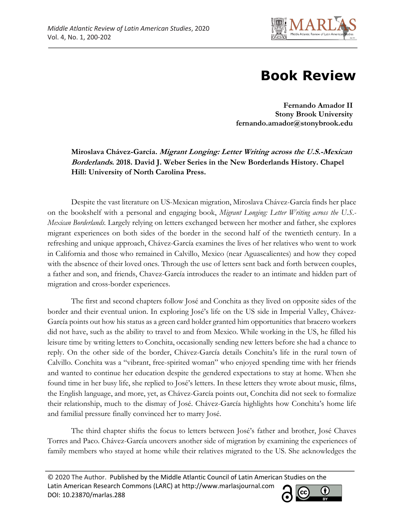

## **Book Review**

**Fernando Amador II Stony Brook University fernando.amador@stonybrook.edu**

**Miroslava Chávez-García. Migrant Longing: Letter Writing across the U.S.-Mexican Borderlands. 2018. David J. Weber Series in the New Borderlands History. Chapel Hill: University of North Carolina Press.**

Despite the vast literature on US-Mexican migration, Miroslava Chávez-García finds her place on the bookshelf with a personal and engaging book, *Migrant Longing: Letter Writing across the U.S.- Mexican Borderlands.* Largely relying on letters exchanged between her mother and father, she explores migrant experiences on both sides of the border in the second half of the twentieth century. In a refreshing and unique approach, Chávez-García examines the lives of her relatives who went to work in California and those who remained in Calvillo, Mexico (near Aguascalientes) and how they coped with the absence of their loved ones. Through the use of letters sent back and forth between couples, a father and son, and friends, Chavez-García introduces the reader to an intimate and hidden part of migration and cross-border experiences.

The first and second chapters follow José and Conchita as they lived on opposite sides of the border and their eventual union. In exploring José's life on the US side in Imperial Valley, Chávez-García points out how his status as a green card holder granted him opportunities that bracero workers did not have, such as the ability to travel to and from Mexico. While working in the US, he filled his leisure time by writing letters to Conchita, occasionally sending new letters before she had a chance to reply. On the other side of the border, Chávez-García details Conchita's life in the rural town of Calvillo. Conchita was a "vibrant, free-spirited woman" who enjoyed spending time with her friends and wanted to continue her education despite the gendered expectations to stay at home. When she found time in her busy life, she replied to José's letters. In these letters they wrote about music, films, the English language, and more, yet, as Chávez-García points out, Conchita did not seek to formalize their relationship, much to the dismay of José. Chávez-García highlights how Conchita's home life and familial pressure finally convinced her to marry José.

The third chapter shifts the focus to letters between José's father and brother, José Chaves Torres and Paco. Chávez-García uncovers another side of migration by examining the experiences of family members who stayed at home while their relatives migrated to the US. She acknowledges the

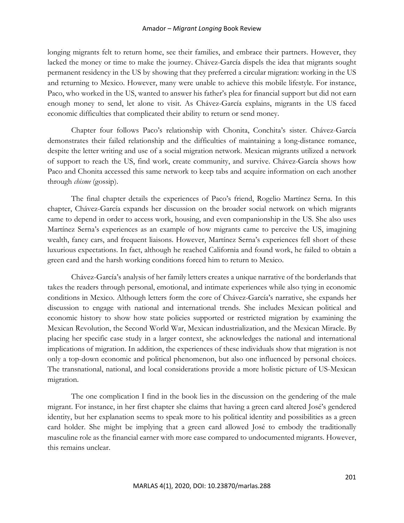## Amador – *Migrant Longing* Book Review

longing migrants felt to return home, see their families, and embrace their partners. However, they lacked the money or time to make the journey. Chávez-García dispels the idea that migrants sought permanent residency in the US by showing that they preferred a circular migration: working in the US and returning to Mexico. However, many were unable to achieve this mobile lifestyle. For instance, Paco, who worked in the US, wanted to answer his father's plea for financial support but did not earn enough money to send, let alone to visit. As Chávez-García explains, migrants in the US faced economic difficulties that complicated their ability to return or send money.

Chapter four follows Paco's relationship with Chonita, Conchita's sister. Chávez-García demonstrates their failed relationship and the difficulties of maintaining a long-distance romance, despite the letter writing and use of a social migration network. Mexican migrants utilized a network of support to reach the US, find work, create community, and survive. Chávez-García shows how Paco and Chonita accessed this same network to keep tabs and acquire information on each another through *chisme* (gossip).

The final chapter details the experiences of Paco's friend, Rogelio Martínez Serna. In this chapter, Chávez-García expands her discussion on the broader social network on which migrants came to depend in order to access work, housing, and even companionship in the US. She also uses Martínez Serna's experiences as an example of how migrants came to perceive the US, imagining wealth, fancy cars, and frequent liaisons. However, Martínez Serna's experiences fell short of these luxurious expectations. In fact, although he reached California and found work, he failed to obtain a green card and the harsh working conditions forced him to return to Mexico.

Chávez-García's analysis of her family letters creates a unique narrative of the borderlands that takes the readers through personal, emotional, and intimate experiences while also tying in economic conditions in Mexico. Although letters form the core of Chávez-García's narrative, she expands her discussion to engage with national and international trends. She includes Mexican political and economic history to show how state policies supported or restricted migration by examining the Mexican Revolution, the Second World War, Mexican industrialization, and the Mexican Miracle. By placing her specific case study in a larger context, she acknowledges the national and international implications of migration. In addition, the experiences of these individuals show that migration is not only a top-down economic and political phenomenon, but also one influenced by personal choices. The transnational, national, and local considerations provide a more holistic picture of US-Mexican migration.

The one complication I find in the book lies in the discussion on the gendering of the male migrant. For instance, in her first chapter she claims that having a green card altered José's gendered identity, but her explanation seems to speak more to his political identity and possibilities as a green card holder. She might be implying that a green card allowed José to embody the traditionally masculine role as the financial earner with more ease compared to undocumented migrants. However, this remains unclear.